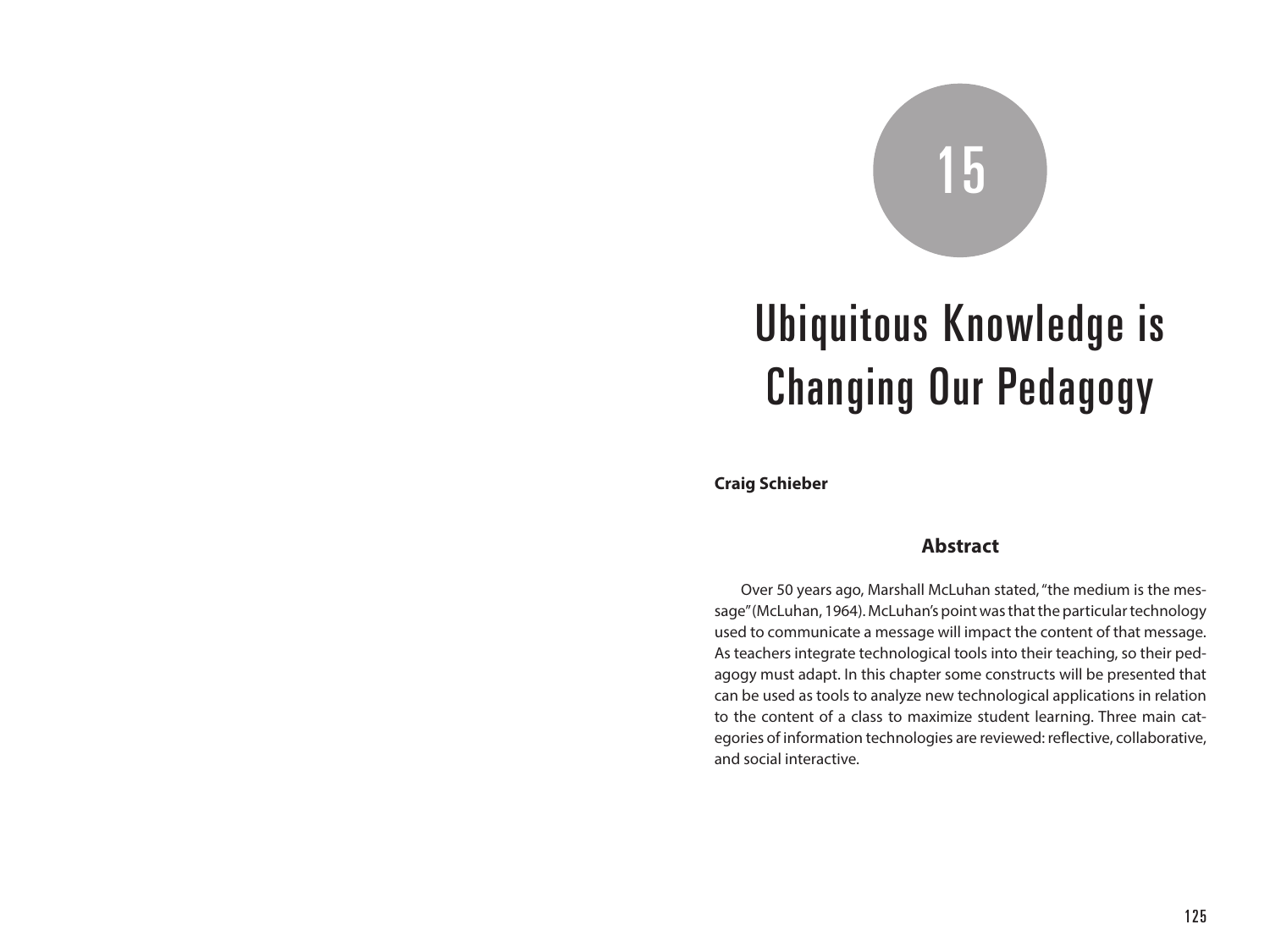# 15

# Ubiquitous Knowledge is Changing Our Pedagogy

**Craig Schieber**

#### **Abstract**

Over 50 years ago, Marshall McLuhan stated, "the medium is the message" (McLuhan, 1964). McLuhan's point was that the particular technology used to communicate a message will impact the content of that message. As teachers integrate technological tools into their teaching, so their pedagogy must adapt. In this chapter some constructs will be presented that can be used as tools to analyze new technological applications in relation to the content of a class to maximize student learning. Three main categories of information technologies are reviewed: reflective, collaborative, and social interactive.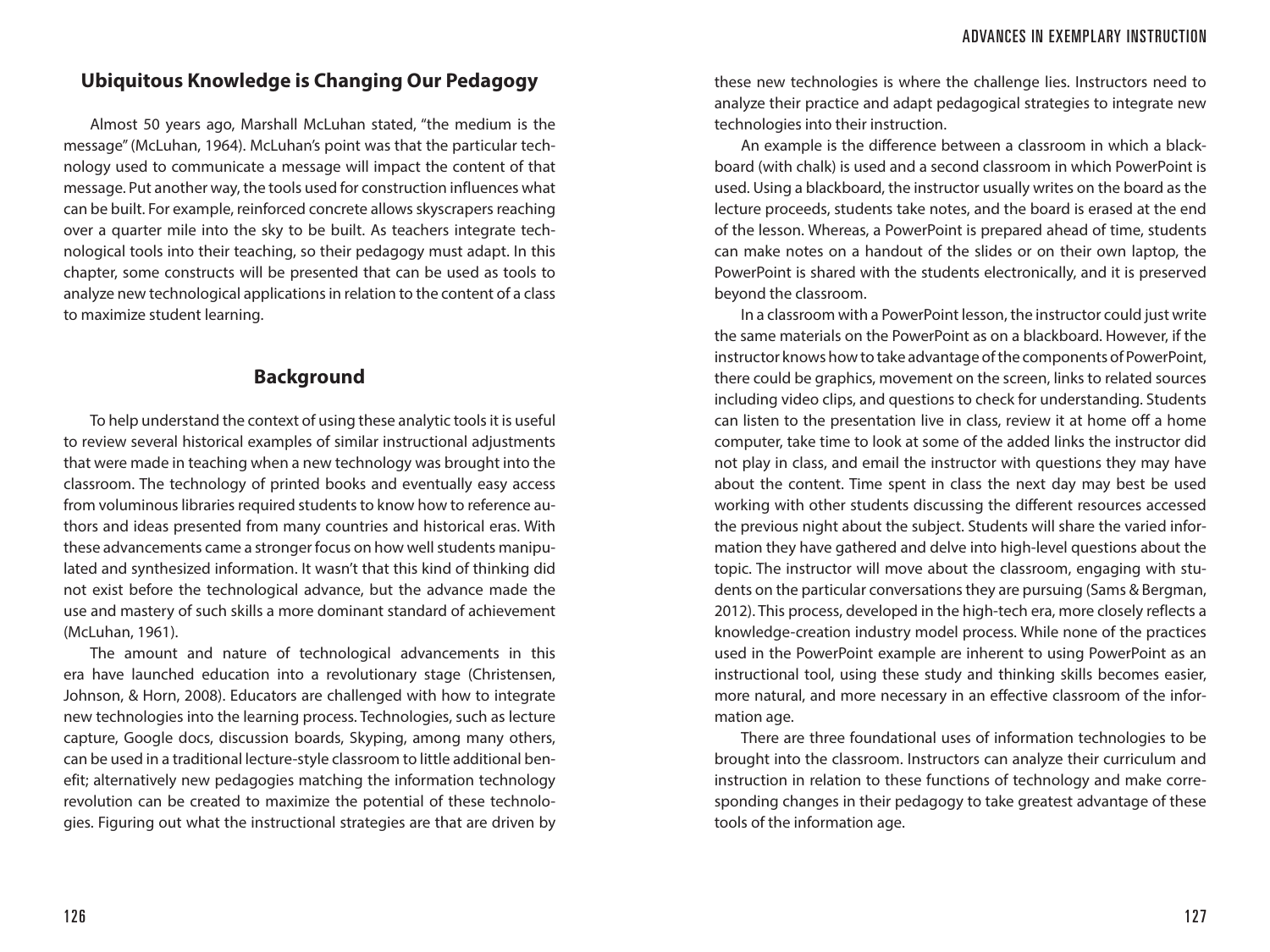# **Ubiquitous Knowledge is Changing Our Pedagogy**

Almost 50 years ago, Marshall McLuhan stated, "the medium is the message" (McLuhan, 1964). McLuhan's point was that the particular technology used to communicate a message will impact the content of that message. Put another way, the tools used for construction influences what can be built. For example, reinforced concrete allows skyscrapers reaching over a quarter mile into the sky to be built. As teachers integrate technological tools into their teaching, so their pedagogy must adapt. In this chapter, some constructs will be presented that can be used as tools to analyze new technological applications in relation to the content of a class to maximize student learning.

# **Background**

To help understand the context of using these analytic tools it is useful to review several historical examples of similar instructional adjustments that were made in teaching when a new technology was brought into the classroom. The technology of printed books and eventually easy access from voluminous libraries required students to know how to reference authors and ideas presented from many countries and historical eras. With these advancements came a stronger focus on how well students manipulated and synthesized information. It wasn't that this kind of thinking did not exist before the technological advance, but the advance made the use and mastery of such skills a more dominant standard of achievement (McLuhan, 1961).

The amount and nature of technological advancements in this era have launched education into a revolutionary stage (Christensen, Johnson, & Horn, 2008). Educators are challenged with how to integrate new technologies into the learning process. Technologies, such as lecture capture, Google docs, discussion boards, Skyping, among many others, can be used in a traditional lecture-style classroom to little additional benefit; alternatively new pedagogies matching the information technology revolution can be created to maximize the potential of these technologies. Figuring out what the instructional strategies are that are driven by

these new technologies is where the challenge lies. Instructors need to analyze their practice and adapt pedagogical strategies to integrate new technologies into their instruction.

An example is the difference between a classroom in which a blackboard (with chalk) is used and a second classroom in which PowerPoint is used. Using a blackboard, the instructor usually writes on the board as the lecture proceeds, students take notes, and the board is erased at the end of the lesson. Whereas, a PowerPoint is prepared ahead of time, students can make notes on a handout of the slides or on their own laptop, the PowerPoint is shared with the students electronically, and it is preserved beyond the classroom.

In a classroom with a PowerPoint lesson, the instructor could just write the same materials on the PowerPoint as on a blackboard. However, if the instructor knows how to take advantage of the components of PowerPoint, there could be graphics, movement on the screen, links to related sources including video clips, and questions to check for understanding. Students can listen to the presentation live in class, review it at home off a home computer, take time to look at some of the added links the instructor did not play in class, and email the instructor with questions they may have about the content. Time spent in class the next day may best be used working with other students discussing the different resources accessed the previous night about the subject. Students will share the varied information they have gathered and delve into high-level questions about the topic. The instructor will move about the classroom, engaging with students on the particular conversations they are pursuing (Sams & Bergman, 2012). This process, developed in the high-tech era, more closely reflects a knowledge-creation industry model process. While none of the practices used in the PowerPoint example are inherent to using PowerPoint as an instructional tool, using these study and thinking skills becomes easier, more natural, and more necessary in an effective classroom of the information age.

There are three foundational uses of information technologies to be brought into the classroom. Instructors can analyze their curriculum and instruction in relation to these functions of technology and make corresponding changes in their pedagogy to take greatest advantage of these tools of the information age.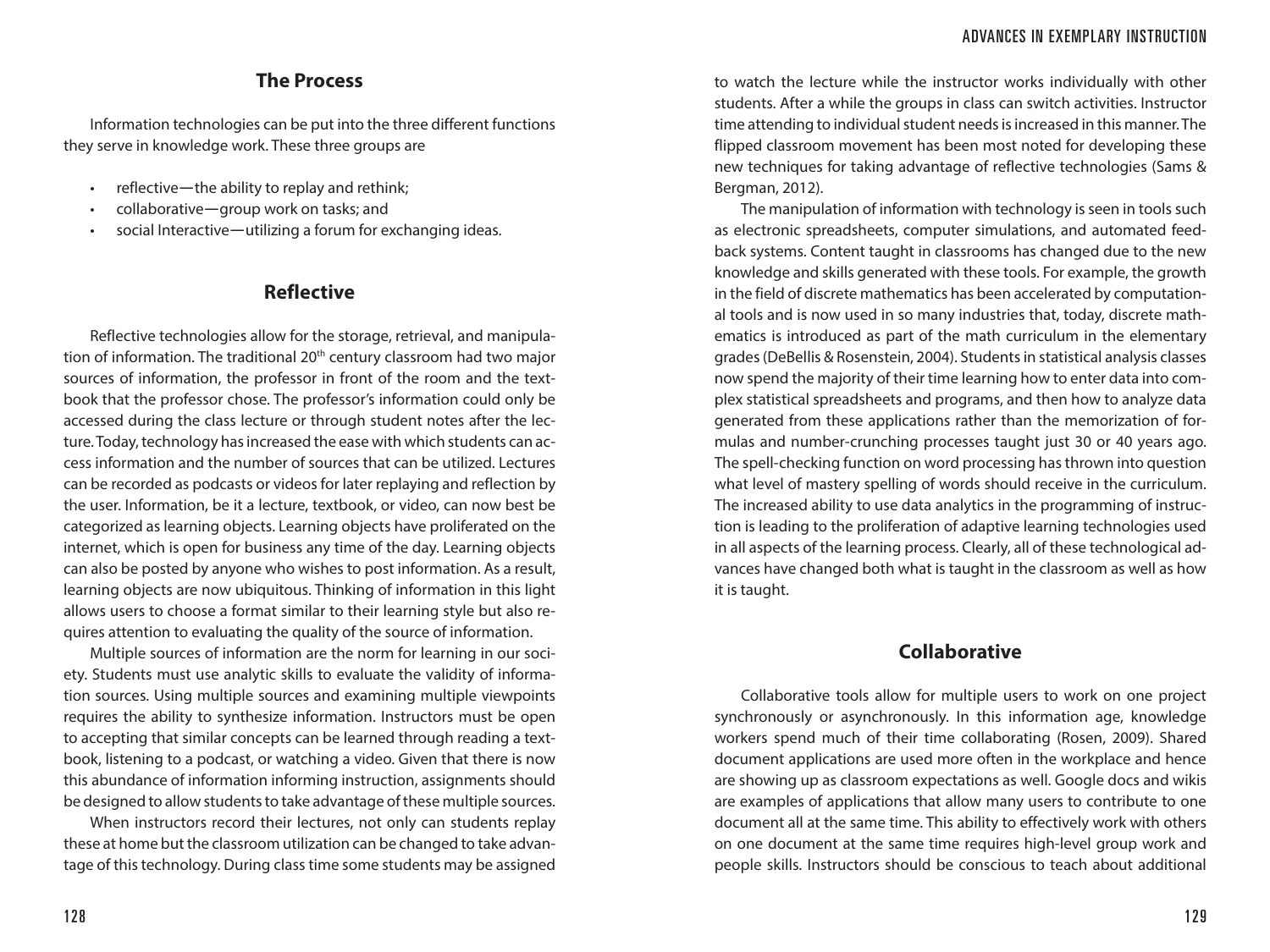## **The Process**

Information technologies can be put into the three different functions they serve in knowledge work. These three groups are

- reflective-the ability to replay and rethink;
- collaborative―group work on tasks; and
- social Interactive—utilizing a forum for exchanging ideas.

#### **Reflective**

Reflective technologies allow for the storage, retrieval, and manipulation of information. The traditional 20<sup>th</sup> century classroom had two major sources of information, the professor in front of the room and the textbook that the professor chose. The professor's information could only be accessed during the class lecture or through student notes after the lecture. Today, technology has increased the ease with which students can access information and the number of sources that can be utilized. Lectures can be recorded as podcasts or videos for later replaying and reflection by the user. Information, be it a lecture, textbook, or video, can now best be categorized as learning objects. Learning objects have proliferated on the internet, which is open for business any time of the day. Learning objects can also be posted by anyone who wishes to post information. As a result, learning objects are now ubiquitous. Thinking of information in this light allows users to choose a format similar to their learning style but also requires attention to evaluating the quality of the source of information.

Multiple sources of information are the norm for learning in our society. Students must use analytic skills to evaluate the validity of information sources. Using multiple sources and examining multiple viewpoints requires the ability to synthesize information. Instructors must be open to accepting that similar concepts can be learned through reading a textbook, listening to a podcast, or watching a video. Given that there is now this abundance of information informing instruction, assignments should be designed to allow students to take advantage of these multiple sources.

When instructors record their lectures, not only can students replay these at home but the classroom utilization can be changed to take advantage of this technology. During class time some students may be assigned

to watch the lecture while the instructor works individually with other students. After a while the groups in class can switch activities. Instructor time attending to individual student needs is increased in this manner. The flipped classroom movement has been most noted for developing these new techniques for taking advantage of reflective technologies (Sams & Bergman, 2012).

The manipulation of information with technology is seen in tools such as electronic spreadsheets, computer simulations, and automated feedback systems. Content taught in classrooms has changed due to the new knowledge and skills generated with these tools. For example, the growth in the field of discrete mathematics has been accelerated by computational tools and is now used in so many industries that, today, discrete mathematics is introduced as part of the math curriculum in the elementary grades (DeBellis & Rosenstein, 2004). Students in statistical analysis classes now spend the majority of their time learning how to enter data into complex statistical spreadsheets and programs, and then how to analyze data generated from these applications rather than the memorization of formulas and number-crunching processes taught just 30 or 40 years ago. The spell-checking function on word processing has thrown into question what level of mastery spelling of words should receive in the curriculum. The increased ability to use data analytics in the programming of instruction is leading to the proliferation of adaptive learning technologies used in all aspects of the learning process. Clearly, all of these technological advances have changed both what is taught in the classroom as well as how it is taught.

# **Collaborative**

Collaborative tools allow for multiple users to work on one project synchronously or asynchronously. In this information age, knowledge workers spend much of their time collaborating (Rosen, 2009). Shared document applications are used more often in the workplace and hence are showing up as classroom expectations as well. Google docs and wikis are examples of applications that allow many users to contribute to one document all at the same time. This ability to effectively work with others on one document at the same time requires high-level group work and people skills. Instructors should be conscious to teach about additional